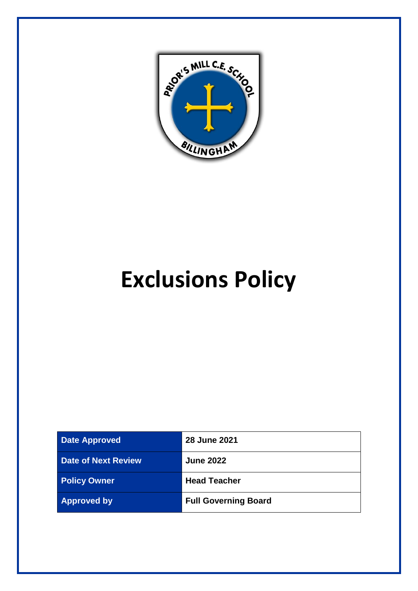

# **Exclusions Policy**

| <b>Date Approved</b>       | <b>28 June 2021</b>         |
|----------------------------|-----------------------------|
| <b>Date of Next Review</b> | <b>June 2022</b>            |
| <b>Policy Owner</b>        | <b>Head Teacher</b>         |
| <b>Approved by</b>         | <b>Full Governing Board</b> |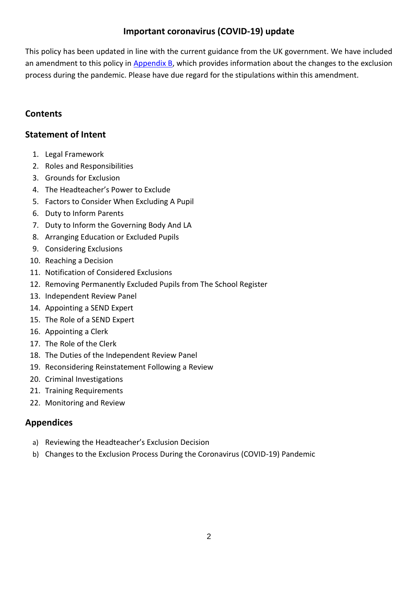# **Important coronavirus (COVID-19) update**

This policy has been updated in line with the current guidance from the UK government. We have included an amendment to this policy in [Appendix B,](#page-15-0) which provides information about the changes to the exclusion process during the pandemic. Please have due regard for the stipulations within this amendment.

# **Contents**

# **[Statement of Intent](#page-2-0)**

- 1. [Legal Framework](#page-3-0)
- 2. Roles [and Responsibilities](#page-3-1)
- 3. [Grounds for Exclusion](#page-5-0)
- 4. The [Headteacher's Power](#page-5-1) to Exclude
- 5. [Factors to Consider When Excluding A Pupil](#page-6-0)
- 6. [Duty to Inform Parents](#page-6-1)
- 7. [Duty to Inform the Governing Body](#page-7-0) And LA
- 8. [Arranging Education or Excluded Pupils](#page-8-0)
- 9. [Considering Exclusions](#page-8-1)
- 10. [Reaching a](#page-9-0) Decision
- 11. Notification of Considered Exclusions
- 12. [Removing Permanently Excluded Pupils from The School Register](#page-10-0)
- 13. [Independent Review Panel](#page-11-0)
- 14. Appointing a [SEND Expert](#page-11-1)
- 15. [The Role of a](#page-12-0) SEND Expert
- 16. [Appointing a](#page-12-1) Clerk
- 17. [The Role of the Clerk](#page-12-2)
- 18. [The Duties of the Independent Review Panel](#page-13-0)
- 19. [Reconsidering Reinstatement Following a](#page-13-1) Review
- 20. [Criminal Investigations](#page-14-0)
- 21. [Training Requirements](#page-14-1)
- 22. [Monitoring and Review](#page-14-2)

# **Appendices**

- a) [Reviewing the Headteacher's Exclusion Decision](#page-14-3)
- b) [Changes to the Exclusion Process During the Coronavirus \(COVID-19\) Pandemic](#page-15-0)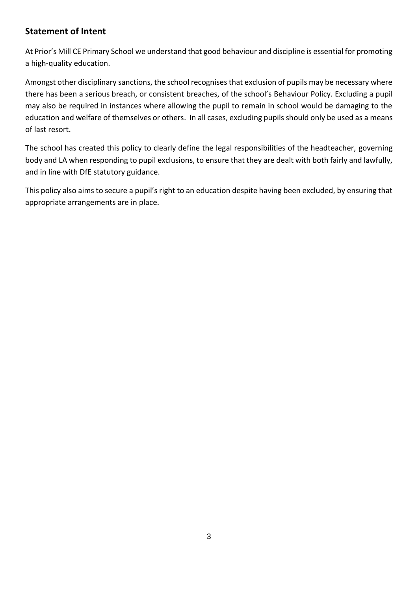# <span id="page-2-0"></span>**Statement of Intent**

At Prior's Mill CE Primary School we understand that good behaviour and discipline is essential for promoting a high-quality education.

Amongst other disciplinary sanctions, the school recognises that exclusion of pupils may be necessary where there has been a serious breach, or consistent breaches, of the school's Behaviour Policy. Excluding a pupil may also be required in instances where allowing the pupil to remain in school would be damaging to the education and welfare of themselves or others. In all cases, excluding pupils should only be used as a means of last resort.

The school has created this policy to clearly define the legal responsibilities of the headteacher, governing body and LA when responding to pupil exclusions, to ensure that they are dealt with both fairly and lawfully, and in line with DfE statutory guidance.

This policy also aims to secure a pupil's right to an education despite having been excluded, by ensuring that appropriate arrangements are in place.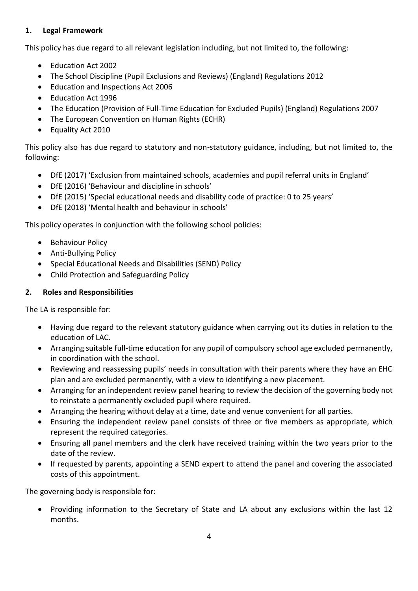# <span id="page-3-0"></span>**1. Legal Framework**

This policy has due regard to all relevant legislation including, but not limited to, the following:

- Education Act 2002
- The School Discipline (Pupil Exclusions and Reviews) (England) Regulations 2012
- Education and Inspections Act 2006
- Education Act 1996
- The Education (Provision of Full-Time Education for Excluded Pupils) (England) Regulations 2007
- The European Convention on Human Rights (ECHR)
- Equality Act 2010

This policy also has due regard to statutory and non-statutory guidance, including, but not limited to, the following:

- DfE (2017) 'Exclusion from maintained schools, academies and pupil referral units in England'
- DfE (2016) 'Behaviour and discipline in schools'
- DfE (2015) 'Special educational needs and disability code of practice: 0 to 25 years'
- DfE (2018) 'Mental health and behaviour in schools'

This policy operates in conjunction with the following school policies:

- Behaviour Policy
- Anti-Bullying Policy
- Special Educational Needs and Disabilities (SEND) Policy
- Child Protection and Safeguarding Policy

#### <span id="page-3-1"></span>**2. Roles and Responsibilities**

The LA is responsible for:

- Having due regard to the relevant statutory guidance when carrying out its duties in relation to the education of LAC.
- Arranging suitable full-time education for any pupil of compulsory school age excluded permanently, in coordination with the school.
- Reviewing and reassessing pupils' needs in consultation with their parents where they have an EHC plan and are excluded permanently, with a view to identifying a new placement.
- Arranging for an independent review panel hearing to review the decision of the governing body not to reinstate a permanently excluded pupil where required.
- Arranging the hearing without delay at a time, date and venue convenient for all parties.
- Ensuring the independent review panel consists of three or five members as appropriate, which represent the required categories.
- Ensuring all panel members and the clerk have received training within the two years prior to the date of the review.
- If requested by parents, appointing a SEND expert to attend the panel and covering the associated costs of this appointment.

The governing body is responsible for:

• Providing information to the Secretary of State and LA about any exclusions within the last 12 months.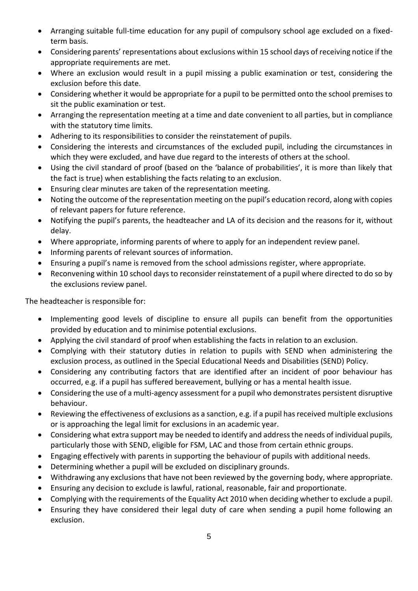- Arranging suitable full-time education for any pupil of compulsory school age excluded on a fixedterm basis.
- Considering parents' representations about exclusions within 15 school days of receiving notice if the appropriate requirements are met.
- Where an exclusion would result in a pupil missing a public examination or test, considering the exclusion before this date.
- Considering whether it would be appropriate for a pupil to be permitted onto the school premises to sit the public examination or test.
- Arranging the representation meeting at a time and date convenient to all parties, but in compliance with the statutory time limits.
- Adhering to its responsibilities to consider the reinstatement of pupils.
- Considering the interests and circumstances of the excluded pupil, including the circumstances in which they were excluded, and have due regard to the interests of others at the school.
- Using the civil standard of proof (based on the 'balance of probabilities', it is more than likely that the fact is true) when establishing the facts relating to an exclusion.
- Ensuring clear minutes are taken of the representation meeting.
- Noting the outcome of the representation meeting on the pupil's education record, along with copies of relevant papers for future reference.
- Notifying the pupil's parents, the headteacher and LA of its decision and the reasons for it, without delay.
- Where appropriate, informing parents of where to apply for an independent review panel.
- Informing parents of relevant sources of information.
- Ensuring a pupil's name is removed from the school admissions register, where appropriate.
- Reconvening within 10 school days to reconsider reinstatement of a pupil where directed to do so by the exclusions review panel.

The headteacher is responsible for:

- Implementing good levels of discipline to ensure all pupils can benefit from the opportunities provided by education and to minimise potential exclusions.
- Applying the civil standard of proof when establishing the facts in relation to an exclusion.
- Complying with their statutory duties in relation to pupils with SEND when administering the exclusion process, as outlined in the Special Educational Needs and Disabilities (SEND) Policy.
- Considering any contributing factors that are identified after an incident of poor behaviour has occurred, e.g. if a pupil has suffered bereavement, bullying or has a mental health issue.
- Considering the use of a multi-agency assessment for a pupil who demonstrates persistent disruptive behaviour.
- Reviewing the effectiveness of exclusions as a sanction, e.g. if a pupil has received multiple exclusions or is approaching the legal limit for exclusions in an academic year.
- Considering what extra support may be needed to identify and address the needs of individual pupils, particularly those with SEND, eligible for FSM, LAC and those from certain ethnic groups.
- Engaging effectively with parents in supporting the behaviour of pupils with additional needs.
- Determining whether a pupil will be excluded on disciplinary grounds.
- Withdrawing any exclusions that have not been reviewed by the governing body, where appropriate.
- Ensuring any decision to exclude is lawful, rational, reasonable, fair and proportionate.
- Complying with the requirements of the Equality Act 2010 when deciding whether to exclude a pupil.
- Ensuring they have considered their legal duty of care when sending a pupil home following an exclusion.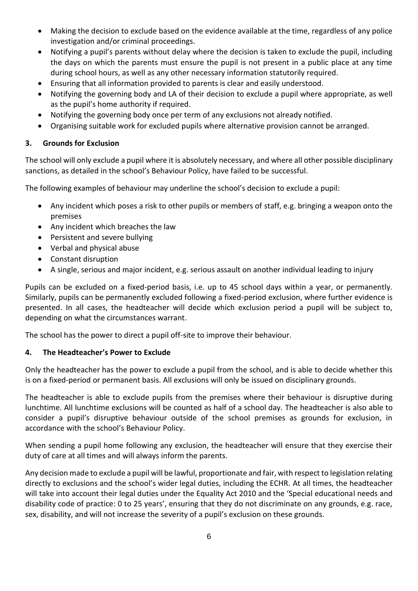- Making the decision to exclude based on the evidence available at the time, regardless of any police investigation and/or criminal proceedings.
- Notifying a pupil's parents without delay where the decision is taken to exclude the pupil, including the days on which the parents must ensure the pupil is not present in a public place at any time during school hours, as well as any other necessary information statutorily required.
- Ensuring that all information provided to parents is clear and easily understood.
- Notifying the governing body and LA of their decision to exclude a pupil where appropriate, as well as the pupil's home authority if required.
- Notifying the governing body once per term of any exclusions not already notified.
- Organising suitable work for excluded pupils where alternative provision cannot be arranged.

#### <span id="page-5-0"></span>**3. Grounds for Exclusion**

The school will only exclude a pupil where it is absolutely necessary, and where all other possible disciplinary sanctions, as detailed in the school's Behaviour Policy, have failed to be successful.

The following examples of behaviour may underline the school's decision to exclude a pupil:

- Any incident which poses a risk to other pupils or members of staff, e.g. bringing a weapon onto the premises
- Any incident which breaches the law
- Persistent and severe bullying
- Verbal and physical abuse
- Constant disruption
- A single, serious and major incident, e.g. serious assault on another individual leading to injury

Pupils can be excluded on a fixed-period basis, i.e. up to 45 school days within a year, or permanently. Similarly, pupils can be permanently excluded following a fixed-period exclusion, where further evidence is presented. In all cases, the headteacher will decide which exclusion period a pupil will be subject to, depending on what the circumstances warrant.

The school has the power to direct a pupil off-site to improve their behaviour.

#### <span id="page-5-1"></span>**4. The Headteacher's Power to Exclude**

Only the headteacher has the power to exclude a pupil from the school, and is able to decide whether this is on a fixed-period or permanent basis. All exclusions will only be issued on disciplinary grounds.

The headteacher is able to exclude pupils from the premises where their behaviour is disruptive during lunchtime. All lunchtime exclusions will be counted as half of a school day. The headteacher is also able to consider a pupil's disruptive behaviour outside of the school premises as grounds for exclusion, in accordance with the school's Behaviour Policy.

When sending a pupil home following any exclusion, the headteacher will ensure that they exercise their duty of care at all times and will always inform the parents.

Any decision made to exclude a pupil will be lawful, proportionate and fair, with respect to legislation relating directly to exclusions and the school's wider legal duties, including the ECHR. At all times, the headteacher will take into account their legal duties under the Equality Act 2010 and the 'Special educational needs and disability code of practice: 0 to 25 years', ensuring that they do not discriminate on any grounds, e.g. race, sex, disability, and will not increase the severity of a pupil's exclusion on these grounds.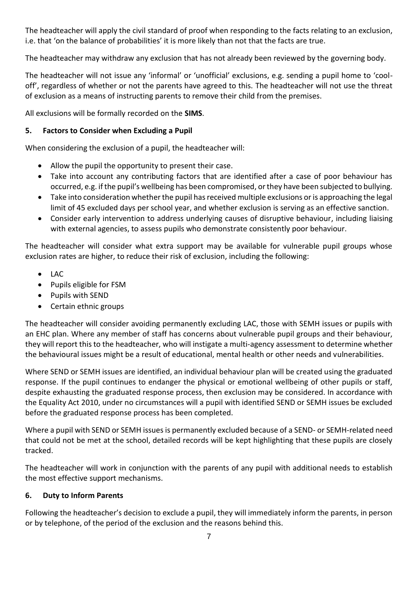The headteacher will apply the civil standard of proof when responding to the facts relating to an exclusion, i.e. that 'on the balance of probabilities' it is more likely than not that the facts are true.

The headteacher may withdraw any exclusion that has not already been reviewed by the governing body.

The headteacher will not issue any 'informal' or 'unofficial' exclusions, e.g. sending a pupil home to 'cooloff', regardless of whether or not the parents have agreed to this. The headteacher will not use the threat of exclusion as a means of instructing parents to remove their child from the premises.

All exclusions will be formally recorded on the **SIMS**.

## <span id="page-6-0"></span>**5. Factors to Consider when Excluding a Pupil**

When considering the exclusion of a pupil, the headteacher will:

- Allow the pupil the opportunity to present their case.
- Take into account any contributing factors that are identified after a case of poor behaviour has occurred, e.g. if the pupil's wellbeing has been compromised, or they have been subjected to bullying.
- Take into consideration whether the pupil has received multiple exclusions or is approaching the legal limit of 45 excluded days per school year, and whether exclusion is serving as an effective sanction.
- Consider early intervention to address underlying causes of disruptive behaviour, including liaising with external agencies, to assess pupils who demonstrate consistently poor behaviour.

The headteacher will consider what extra support may be available for vulnerable pupil groups whose exclusion rates are higher, to reduce their risk of exclusion, including the following:

- $\bullet$  LAC
- Pupils eligible for FSM
- Pupils with SEND
- Certain ethnic groups

The headteacher will consider avoiding permanently excluding LAC, those with SEMH issues or pupils with an EHC plan. Where any member of staff has concerns about vulnerable pupil groups and their behaviour, they will report this to the headteacher, who will instigate a multi-agency assessment to determine whether the behavioural issues might be a result of educational, mental health or other needs and vulnerabilities.

Where SEND or SEMH issues are identified, an individual behaviour plan will be created using the graduated response. If the pupil continues to endanger the physical or emotional wellbeing of other pupils or staff, despite exhausting the graduated response process, then exclusion may be considered. In accordance with the Equality Act 2010, under no circumstances will a pupil with identified SEND or SEMH issues be excluded before the graduated response process has been completed.

Where a pupil with SEND or SEMH issues is permanently excluded because of a SEND- or SEMH-related need that could not be met at the school, detailed records will be kept highlighting that these pupils are closely tracked.

The headteacher will work in conjunction with the parents of any pupil with additional needs to establish the most effective support mechanisms.

#### <span id="page-6-1"></span>**6. Duty to Inform Parents**

Following the headteacher's decision to exclude a pupil, they will immediately inform the parents, in person or by telephone, of the period of the exclusion and the reasons behind this.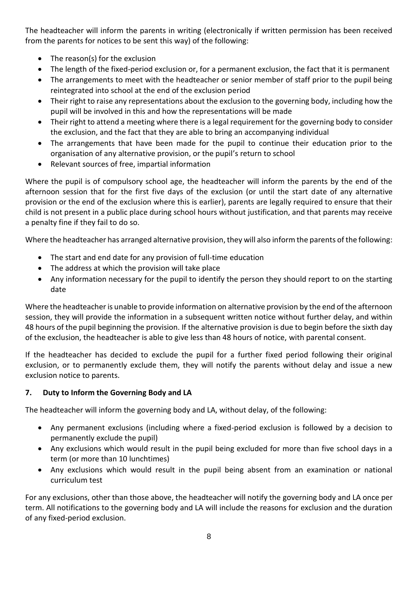The headteacher will inform the parents in writing (electronically if written permission has been received from the parents for notices to be sent this way) of the following:

- The reason(s) for the exclusion
- The length of the fixed-period exclusion or, for a permanent exclusion, the fact that it is permanent
- The arrangements to meet with the headteacher or senior member of staff prior to the pupil being reintegrated into school at the end of the exclusion period
- Their right to raise any representations about the exclusion to the governing body, including how the pupil will be involved in this and how the representations will be made
- Their right to attend a meeting where there is a legal requirement for the governing body to consider the exclusion, and the fact that they are able to bring an accompanying individual
- The arrangements that have been made for the pupil to continue their education prior to the organisation of any alternative provision, or the pupil's return to school
- Relevant sources of free, impartial information

Where the pupil is of compulsory school age, the headteacher will inform the parents by the end of the afternoon session that for the first five days of the exclusion (or until the start date of any alternative provision or the end of the exclusion where this is earlier), parents are legally required to ensure that their child is not present in a public place during school hours without justification, and that parents may receive a penalty fine if they fail to do so.

Where the headteacher has arranged alternative provision, they will also inform the parents of the following:

- The start and end date for any provision of full-time education
- The address at which the provision will take place
- Any information necessary for the pupil to identify the person they should report to on the starting date

Where the headteacher is unable to provide information on alternative provision by the end of the afternoon session, they will provide the information in a subsequent written notice without further delay, and within 48 hours of the pupil beginning the provision. If the alternative provision is due to begin before the sixth day of the exclusion, the headteacher is able to give less than 48 hours of notice, with parental consent.

If the headteacher has decided to exclude the pupil for a further fixed period following their original exclusion, or to permanently exclude them, they will notify the parents without delay and issue a new exclusion notice to parents.

#### <span id="page-7-0"></span>**7. Duty to Inform the Governing Body and LA**

The headteacher will inform the governing body and LA, without delay, of the following:

- Any permanent exclusions (including where a fixed-period exclusion is followed by a decision to permanently exclude the pupil)
- Any exclusions which would result in the pupil being excluded for more than five school days in a term (or more than 10 lunchtimes)
- Any exclusions which would result in the pupil being absent from an examination or national curriculum test

For any exclusions, other than those above, the headteacher will notify the governing body and LA once per term. All notifications to the governing body and LA will include the reasons for exclusion and the duration of any fixed-period exclusion.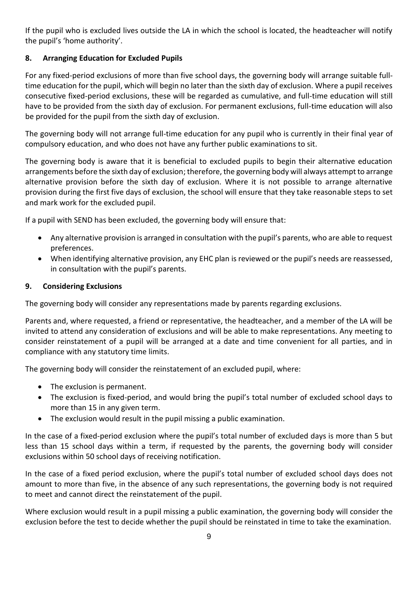If the pupil who is excluded lives outside the LA in which the school is located, the headteacher will notify the pupil's 'home authority'.

# <span id="page-8-0"></span>**8. Arranging Education for Excluded Pupils**

For any fixed-period exclusions of more than five school days, the governing body will arrange suitable fulltime education for the pupil, which will begin no later than the sixth day of exclusion. Where a pupil receives consecutive fixed-period exclusions, these will be regarded as cumulative, and full-time education will still have to be provided from the sixth day of exclusion. For permanent exclusions, full-time education will also be provided for the pupil from the sixth day of exclusion.

The governing body will not arrange full-time education for any pupil who is currently in their final year of compulsory education, and who does not have any further public examinations to sit.

The governing body is aware that it is beneficial to excluded pupils to begin their alternative education arrangements before the sixth day of exclusion; therefore, the governing body will always attempt to arrange alternative provision before the sixth day of exclusion. Where it is not possible to arrange alternative provision during the first five days of exclusion, the school will ensure that they take reasonable steps to set and mark work for the excluded pupil.

If a pupil with SEND has been excluded, the governing body will ensure that:

- Any alternative provision is arranged in consultation with the pupil's parents, who are able to request preferences.
- When identifying alternative provision, any EHC plan is reviewed or the pupil's needs are reassessed, in consultation with the pupil's parents.

#### <span id="page-8-1"></span>**9. Considering Exclusions**

The governing body will consider any representations made by parents regarding exclusions.

Parents and, where requested, a friend or representative, the headteacher, and a member of the LA will be invited to attend any consideration of exclusions and will be able to make representations. Any meeting to consider reinstatement of a pupil will be arranged at a date and time convenient for all parties, and in compliance with any statutory time limits.

The governing body will consider the reinstatement of an excluded pupil, where:

- The exclusion is permanent.
- The exclusion is fixed-period, and would bring the pupil's total number of excluded school days to more than 15 in any given term.
- The exclusion would result in the pupil missing a public examination.

In the case of a fixed-period exclusion where the pupil's total number of excluded days is more than 5 but less than 15 school days within a term, if requested by the parents, the governing body will consider exclusions within 50 school days of receiving notification.

In the case of a fixed period exclusion, where the pupil's total number of excluded school days does not amount to more than five, in the absence of any such representations, the governing body is not required to meet and cannot direct the reinstatement of the pupil.

Where exclusion would result in a pupil missing a public examination, the governing body will consider the exclusion before the test to decide whether the pupil should be reinstated in time to take the examination.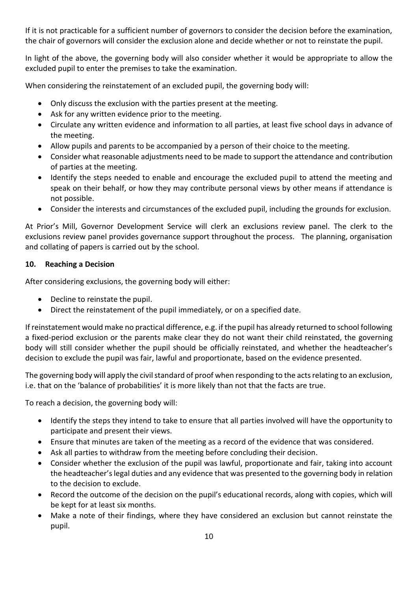If it is not practicable for a sufficient number of governors to consider the decision before the examination, the chair of governors will consider the exclusion alone and decide whether or not to reinstate the pupil.

In light of the above, the governing body will also consider whether it would be appropriate to allow the excluded pupil to enter the premises to take the examination.

When considering the reinstatement of an excluded pupil, the governing body will:

- Only discuss the exclusion with the parties present at the meeting.
- Ask for any written evidence prior to the meeting.
- Circulate any written evidence and information to all parties, at least five school days in advance of the meeting.
- Allow pupils and parents to be accompanied by a person of their choice to the meeting.
- Consider what reasonable adjustments need to be made to support the attendance and contribution of parties at the meeting.
- Identify the steps needed to enable and encourage the excluded pupil to attend the meeting and speak on their behalf, or how they may contribute personal views by other means if attendance is not possible.
- Consider the interests and circumstances of the excluded pupil, including the grounds for exclusion.

At Prior's Mill, Governor Development Service will clerk an exclusions review panel. The clerk to the exclusions review panel provides governance support throughout the process. The planning, organisation and collating of papers is carried out by the school.

#### <span id="page-9-0"></span>**10. Reaching a Decision**

After considering exclusions, the governing body will either:

- Decline to reinstate the pupil.
- Direct the reinstatement of the pupil immediately, or on a specified date.

If reinstatement would make no practical difference, e.g. if the pupil has already returned to school following a fixed-period exclusion or the parents make clear they do not want their child reinstated, the governing body will still consider whether the pupil should be officially reinstated, and whether the headteacher's decision to exclude the pupil was fair, lawful and proportionate, based on the evidence presented.

The governing body will apply the civil standard of proof when responding to the acts relating to an exclusion, i.e. that on the 'balance of probabilities' it is more likely than not that the facts are true.

To reach a decision, the governing body will:

- Identify the steps they intend to take to ensure that all parties involved will have the opportunity to participate and present their views.
- Ensure that minutes are taken of the meeting as a record of the evidence that was considered.
- Ask all parties to withdraw from the meeting before concluding their decision.
- Consider whether the exclusion of the pupil was lawful, proportionate and fair, taking into account the headteacher's legal duties and any evidence that was presented to the governing body in relation to the decision to exclude.
- Record the outcome of the decision on the pupil's educational records, along with copies, which will be kept for at least six months.
- Make a note of their findings, where they have considered an exclusion but cannot reinstate the pupil.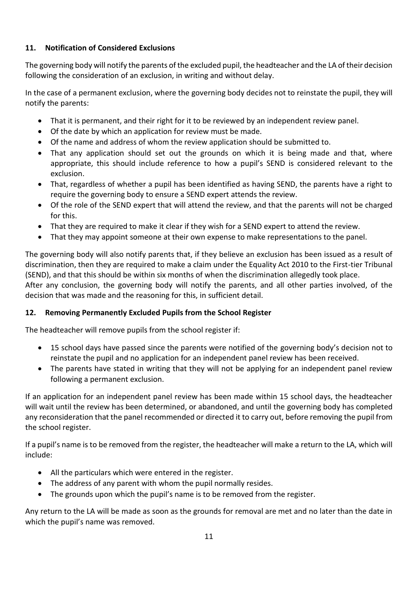# **11. Notification of Considered Exclusions**

The governing body will notify the parents of the excluded pupil, the headteacher and the LA of their decision following the consideration of an exclusion, in writing and without delay.

In the case of a permanent exclusion, where the governing body decides not to reinstate the pupil, they will notify the parents:

- That it is permanent, and their right for it to be reviewed by an independent review panel.
- Of the date by which an application for review must be made.
- Of the name and address of whom the review application should be submitted to.
- That any application should set out the grounds on which it is being made and that, where appropriate, this should include reference to how a pupil's SEND is considered relevant to the exclusion.
- That, regardless of whether a pupil has been identified as having SEND, the parents have a right to require the governing body to ensure a SEND expert attends the review.
- Of the role of the SEND expert that will attend the review, and that the parents will not be charged for this.
- That they are required to make it clear if they wish for a SEND expert to attend the review.
- That they may appoint someone at their own expense to make representations to the panel.

The governing body will also notify parents that, if they believe an exclusion has been issued as a result of discrimination, then they are required to make a claim under the Equality Act 2010 to the First-tier Tribunal (SEND), and that this should be within six months of when the discrimination allegedly took place.

After any conclusion, the governing body will notify the parents, and all other parties involved, of the decision that was made and the reasoning for this, in sufficient detail.

#### <span id="page-10-0"></span>**12. Removing Permanently Excluded Pupils from the School Register**

The headteacher will remove pupils from the school register if:

- 15 school days have passed since the parents were notified of the governing body's decision not to reinstate the pupil and no application for an independent panel review has been received.
- The parents have stated in writing that they will not be applying for an independent panel review following a permanent exclusion.

If an application for an independent panel review has been made within 15 school days, the headteacher will wait until the review has been determined, or abandoned, and until the governing body has completed any reconsideration that the panel recommended or directed it to carry out, before removing the pupil from the school register.

If a pupil's name is to be removed from the register, the headteacher will make a return to the LA, which will include:

- All the particulars which were entered in the register.
- The address of any parent with whom the pupil normally resides.
- The grounds upon which the pupil's name is to be removed from the register.

Any return to the LA will be made as soon as the grounds for removal are met and no later than the date in which the pupil's name was removed.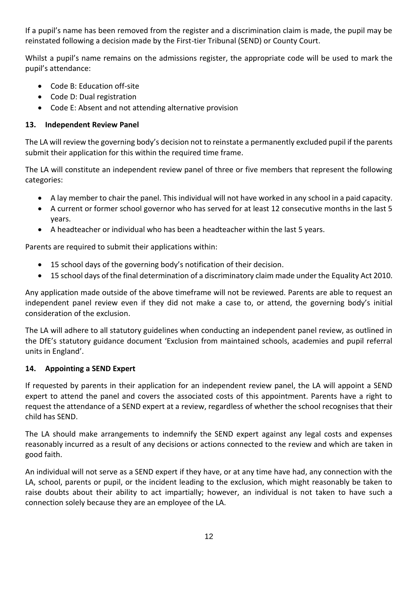If a pupil's name has been removed from the register and a discrimination claim is made, the pupil may be reinstated following a decision made by the First-tier Tribunal (SEND) or County Court.

Whilst a pupil's name remains on the admissions register, the appropriate code will be used to mark the pupil's attendance:

- Code B: Education off-site
- Code D: Dual registration
- Code E: Absent and not attending alternative provision

# <span id="page-11-0"></span>**13. Independent Review Panel**

The LA will review the governing body's decision not to reinstate a permanently excluded pupil if the parents submit their application for this within the required time frame.

The LA will constitute an independent review panel of three or five members that represent the following categories:

- A lay member to chair the panel. This individual will not have worked in any school in a paid capacity.
- A current or former school governor who has served for at least 12 consecutive months in the last 5 years.
- A headteacher or individual who has been a headteacher within the last 5 years.

Parents are required to submit their applications within:

- 15 school days of the governing body's notification of their decision.
- 15 school days of the final determination of a discriminatory claim made under the Equality Act 2010.

Any application made outside of the above timeframe will not be reviewed. Parents are able to request an independent panel review even if they did not make a case to, or attend, the governing body's initial consideration of the exclusion.

The LA will adhere to all statutory guidelines when conducting an independent panel review, as outlined in the DfE's statutory guidance document 'Exclusion from maintained schools, academies and pupil referral units in England'.

#### <span id="page-11-1"></span>**14. Appointing a SEND Expert**

If requested by parents in their application for an independent review panel, the LA will appoint a SEND expert to attend the panel and covers the associated costs of this appointment. Parents have a right to request the attendance of a SEND expert at a review, regardless of whether the school recognises that their child has SEND.

The LA should make arrangements to indemnify the SEND expert against any legal costs and expenses reasonably incurred as a result of any decisions or actions connected to the review and which are taken in good faith.

An individual will not serve as a SEND expert if they have, or at any time have had, any connection with the LA, school, parents or pupil, or the incident leading to the exclusion, which might reasonably be taken to raise doubts about their ability to act impartially; however, an individual is not taken to have such a connection solely because they are an employee of the LA.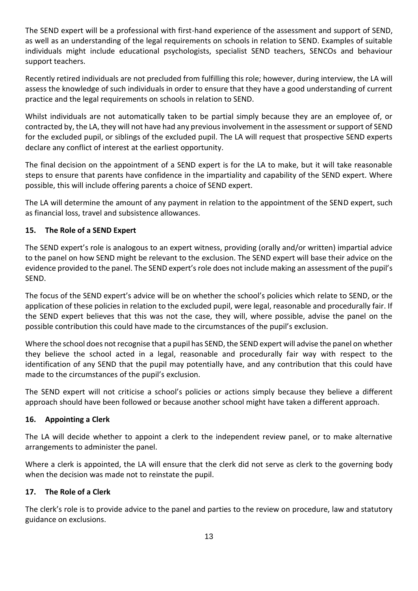The SEND expert will be a professional with first-hand experience of the assessment and support of SEND, as well as an understanding of the legal requirements on schools in relation to SEND. Examples of suitable individuals might include educational psychologists, specialist SEND teachers, SENCOs and behaviour support teachers.

Recently retired individuals are not precluded from fulfilling this role; however, during interview, the LA will assess the knowledge of such individuals in order to ensure that they have a good understanding of current practice and the legal requirements on schools in relation to SEND.

Whilst individuals are not automatically taken to be partial simply because they are an employee of, or contracted by, the LA, they will not have had any previous involvement in the assessment or support of SEND for the excluded pupil, or siblings of the excluded pupil. The LA will request that prospective SEND experts declare any conflict of interest at the earliest opportunity.

The final decision on the appointment of a SEND expert is for the LA to make, but it will take reasonable steps to ensure that parents have confidence in the impartiality and capability of the SEND expert. Where possible, this will include offering parents a choice of SEND expert.

The LA will determine the amount of any payment in relation to the appointment of the SEND expert, such as financial loss, travel and subsistence allowances.

#### <span id="page-12-0"></span>**15. The Role of a SEND Expert**

The SEND expert's role is analogous to an expert witness, providing (orally and/or written) impartial advice to the panel on how SEND might be relevant to the exclusion. The SEND expert will base their advice on the evidence provided to the panel. The SEND expert's role does not include making an assessment of the pupil's SEND.

The focus of the SEND expert's advice will be on whether the school's policies which relate to SEND, or the application of these policies in relation to the excluded pupil, were legal, reasonable and procedurally fair. If the SEND expert believes that this was not the case, they will, where possible, advise the panel on the possible contribution this could have made to the circumstances of the pupil's exclusion.

Where the school does not recognise that a pupil has SEND, the SEND expert will advise the panel on whether they believe the school acted in a legal, reasonable and procedurally fair way with respect to the identification of any SEND that the pupil may potentially have, and any contribution that this could have made to the circumstances of the pupil's exclusion.

The SEND expert will not criticise a school's policies or actions simply because they believe a different approach should have been followed or because another school might have taken a different approach.

#### <span id="page-12-1"></span>**16. Appointing a Clerk**

The LA will decide whether to appoint a clerk to the independent review panel, or to make alternative arrangements to administer the panel.

Where a clerk is appointed, the LA will ensure that the clerk did not serve as clerk to the governing body when the decision was made not to reinstate the pupil.

#### <span id="page-12-2"></span>**17. The Role of a Clerk**

The clerk's role is to provide advice to the panel and parties to the review on procedure, law and statutory guidance on exclusions.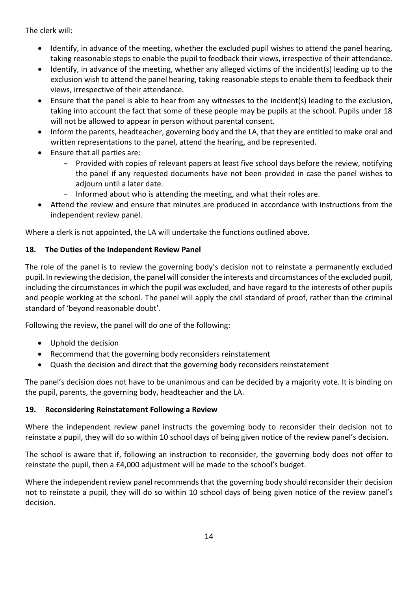The clerk will:

- Identify, in advance of the meeting, whether the excluded pupil wishes to attend the panel hearing, taking reasonable steps to enable the pupil to feedback their views, irrespective of their attendance.
- Identify, in advance of the meeting, whether any alleged victims of the incident(s) leading up to the exclusion wish to attend the panel hearing, taking reasonable steps to enable them to feedback their views, irrespective of their attendance.
- Ensure that the panel is able to hear from any witnesses to the incident(s) leading to the exclusion, taking into account the fact that some of these people may be pupils at the school. Pupils under 18 will not be allowed to appear in person without parental consent.
- Inform the parents, headteacher, governing body and the LA, that they are entitled to make oral and written representations to the panel, attend the hearing, and be represented.
- Ensure that all parties are:
	- Provided with copies of relevant papers at least five school days before the review, notifying the panel if any requested documents have not been provided in case the panel wishes to adiourn until a later date.
	- Informed about who is attending the meeting, and what their roles are.
- Attend the review and ensure that minutes are produced in accordance with instructions from the independent review panel.

Where a clerk is not appointed, the LA will undertake the functions outlined above.

# <span id="page-13-0"></span>**18. The Duties of the Independent Review Panel**

The role of the panel is to review the governing body's decision not to reinstate a permanently excluded pupil. In reviewing the decision, the panel will consider the interests and circumstances of the excluded pupil, including the circumstances in which the pupil was excluded, and have regard to the interests of other pupils and people working at the school. The panel will apply the civil standard of proof, rather than the criminal standard of 'beyond reasonable doubt'.

Following the review, the panel will do one of the following:

- Uphold the decision
- Recommend that the governing body reconsiders reinstatement
- Quash the decision and direct that the governing body reconsiders reinstatement

The panel's decision does not have to be unanimous and can be decided by a majority vote. It is binding on the pupil, parents, the governing body, headteacher and the LA.

#### <span id="page-13-1"></span>**19. Reconsidering Reinstatement Following a Review**

Where the independent review panel instructs the governing body to reconsider their decision not to reinstate a pupil, they will do so within 10 school days of being given notice of the review panel's decision.

The school is aware that if, following an instruction to reconsider, the governing body does not offer to reinstate the pupil, then a £4,000 adjustment will be made to the school's budget.

Where the independent review panel recommends that the governing body should reconsider their decision not to reinstate a pupil, they will do so within 10 school days of being given notice of the review panel's decision.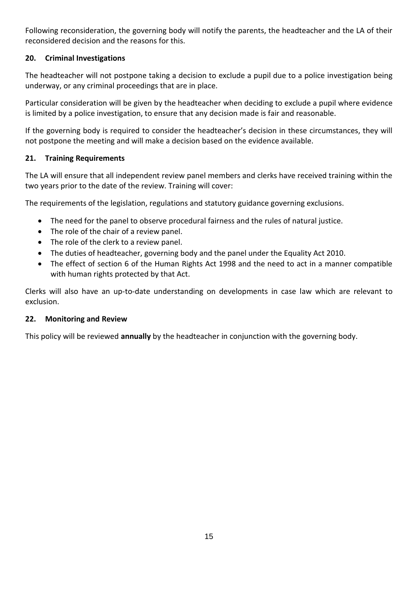Following reconsideration, the governing body will notify the parents, the headteacher and the LA of their reconsidered decision and the reasons for this.

## <span id="page-14-0"></span>**20. Criminal Investigations**

The headteacher will not postpone taking a decision to exclude a pupil due to a police investigation being underway, or any criminal proceedings that are in place.

Particular consideration will be given by the headteacher when deciding to exclude a pupil where evidence is limited by a police investigation, to ensure that any decision made is fair and reasonable.

If the governing body is required to consider the headteacher's decision in these circumstances, they will not postpone the meeting and will make a decision based on the evidence available.

# <span id="page-14-1"></span>**21. Training Requirements**

The LA will ensure that all independent review panel members and clerks have received training within the two years prior to the date of the review. Training will cover:

The requirements of the legislation, regulations and statutory guidance governing exclusions.

- The need for the panel to observe procedural fairness and the rules of natural justice.
- The role of the chair of a review panel.
- The role of the clerk to a review panel.
- The duties of headteacher, governing body and the panel under the Equality Act 2010.
- The effect of section 6 of the Human Rights Act 1998 and the need to act in a manner compatible with human rights protected by that Act.

Clerks will also have an up-to-date understanding on developments in case law which are relevant to exclusion.

#### <span id="page-14-2"></span>**22. Monitoring and Review**

<span id="page-14-3"></span>This policy will be reviewed **annually** by the headteacher in conjunction with the governing body.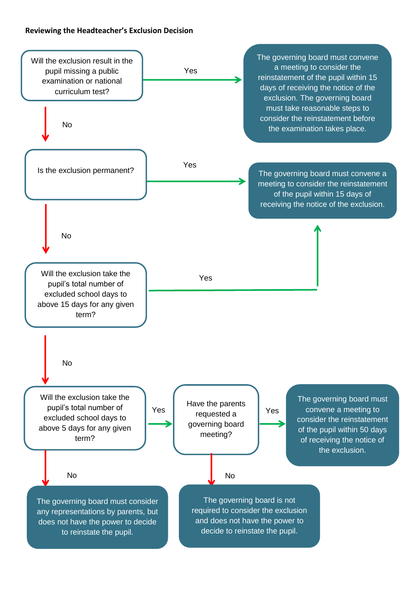#### **Reviewing the Headteacher's Exclusion Decision**

<span id="page-15-0"></span>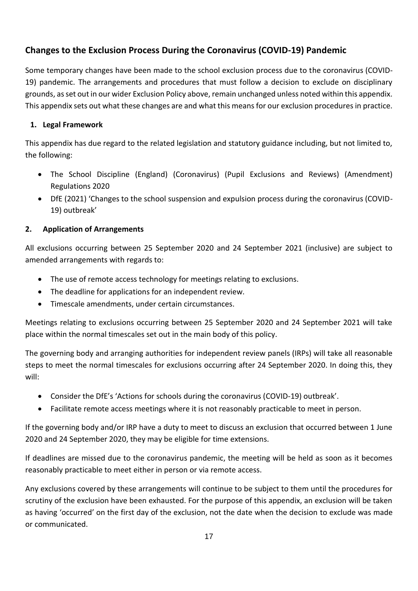# **Changes to the Exclusion Process During the Coronavirus (COVID-19) Pandemic**

Some temporary changes have been made to the school exclusion process due to the coronavirus (COVID-19) pandemic. The arrangements and procedures that must follow a decision to exclude on disciplinary grounds, as set out in our wider Exclusion Policy above, remain unchanged unless noted within this appendix. This appendix sets out what these changes are and what this means for our exclusion procedures in practice.

# **1. Legal Framework**

This appendix has due regard to the related legislation and statutory guidance including, but not limited to, the following:

- The School Discipline (England) (Coronavirus) (Pupil Exclusions and Reviews) (Amendment) Regulations 2020
- DfE (2021) 'Changes to the school suspension and expulsion process during the coronavirus (COVID-19) outbreak'

# **2. Application of Arrangements**

All exclusions occurring between 25 September 2020 and 24 September 2021 (inclusive) are subject to amended arrangements with regards to:

- The use of remote access technology for meetings relating to exclusions.
- The deadline for applications for an independent review.
- Timescale amendments, under certain circumstances.

Meetings relating to exclusions occurring between 25 September 2020 and 24 September 2021 will take place within the normal timescales set out in the main body of this policy.

The governing body and arranging authorities for independent review panels (IRPs) will take all reasonable steps to meet the normal timescales for exclusions occurring after 24 September 2020. In doing this, they will:

- Consider the DfE's 'Actions for schools during the coronavirus (COVID-19) outbreak'.
- Facilitate remote access meetings where it is not reasonably practicable to meet in person.

If the governing body and/or IRP have a duty to meet to discuss an exclusion that occurred between 1 June 2020 and 24 September 2020, they may be eligible for time extensions.

If deadlines are missed due to the coronavirus pandemic, the meeting will be held as soon as it becomes reasonably practicable to meet either in person or via remote access.

Any exclusions covered by these arrangements will continue to be subject to them until the procedures for scrutiny of the exclusion have been exhausted. For the purpose of this appendix, an exclusion will be taken as having 'occurred' on the first day of the exclusion, not the date when the decision to exclude was made or communicated.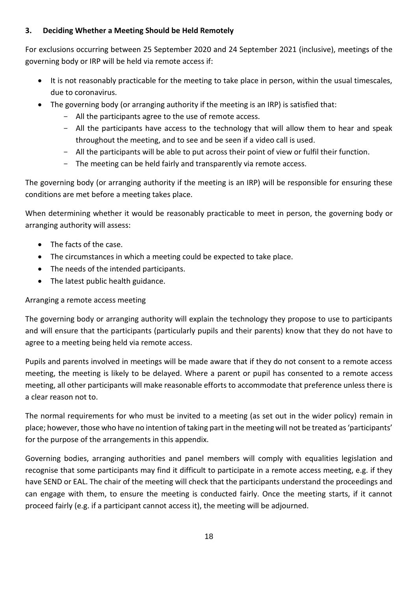## **3. Deciding Whether a Meeting Should be Held Remotely**

For exclusions occurring between 25 September 2020 and 24 September 2021 (inclusive), meetings of the governing body or IRP will be held via remote access if:

- It is not reasonably practicable for the meeting to take place in person, within the usual timescales, due to coronavirus.
- The governing body (or arranging authority if the meeting is an IRP) is satisfied that:
	- All the participants agree to the use of remote access.
	- All the participants have access to the technology that will allow them to hear and speak throughout the meeting, and to see and be seen if a video call is used.
	- All the participants will be able to put across their point of view or fulfil their function.
	- The meeting can be held fairly and transparently via remote access.

The governing body (or arranging authority if the meeting is an IRP) will be responsible for ensuring these conditions are met before a meeting takes place.

When determining whether it would be reasonably practicable to meet in person, the governing body or arranging authority will assess:

- The facts of the case.
- The circumstances in which a meeting could be expected to take place.
- The needs of the intended participants.
- The latest public health guidance.

# Arranging a remote access meeting

The governing body or arranging authority will explain the technology they propose to use to participants and will ensure that the participants (particularly pupils and their parents) know that they do not have to agree to a meeting being held via remote access.

Pupils and parents involved in meetings will be made aware that if they do not consent to a remote access meeting, the meeting is likely to be delayed. Where a parent or pupil has consented to a remote access meeting, all other participants will make reasonable efforts to accommodate that preference unless there is a clear reason not to.

The normal requirements for who must be invited to a meeting (as set out in the wider policy) remain in place; however, those who have no intention of taking part in the meeting will not be treated as 'participants' for the purpose of the arrangements in this appendix.

Governing bodies, arranging authorities and panel members will comply with equalities legislation and recognise that some participants may find it difficult to participate in a remote access meeting, e.g. if they have SEND or EAL. The chair of the meeting will check that the participants understand the proceedings and can engage with them, to ensure the meeting is conducted fairly. Once the meeting starts, if it cannot proceed fairly (e.g. if a participant cannot access it), the meeting will be adjourned.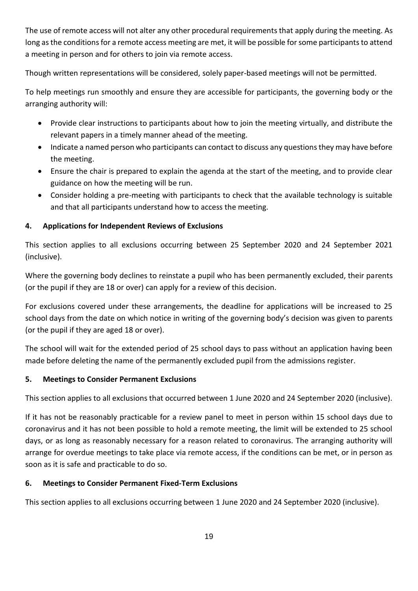The use of remote access will not alter any other procedural requirements that apply during the meeting. As long as the conditions for a remote access meeting are met, it will be possible for some participants to attend a meeting in person and for others to join via remote access.

Though written representations will be considered, solely paper-based meetings will not be permitted.

To help meetings run smoothly and ensure they are accessible for participants, the governing body or the arranging authority will:

- Provide clear instructions to participants about how to join the meeting virtually, and distribute the relevant papers in a timely manner ahead of the meeting.
- Indicate a named person who participants can contact to discuss any questions they may have before the meeting.
- Ensure the chair is prepared to explain the agenda at the start of the meeting, and to provide clear guidance on how the meeting will be run.
- Consider holding a pre-meeting with participants to check that the available technology is suitable and that all participants understand how to access the meeting.

# **4. Applications for Independent Reviews of Exclusions**

This section applies to all exclusions occurring between 25 September 2020 and 24 September 2021 (inclusive).

Where the governing body declines to reinstate a pupil who has been permanently excluded, their parents (or the pupil if they are 18 or over) can apply for a review of this decision.

For exclusions covered under these arrangements, the deadline for applications will be increased to 25 school days from the date on which notice in writing of the governing body's decision was given to parents (or the pupil if they are aged 18 or over).

The school will wait for the extended period of 25 school days to pass without an application having been made before deleting the name of the permanently excluded pupil from the admissions register.

#### **5. Meetings to Consider Permanent Exclusions**

This section applies to all exclusions that occurred between 1 June 2020 and 24 September 2020 (inclusive).

If it has not be reasonably practicable for a review panel to meet in person within 15 school days due to coronavirus and it has not been possible to hold a remote meeting, the limit will be extended to 25 school days, or as long as reasonably necessary for a reason related to coronavirus. The arranging authority will arrange for overdue meetings to take place via remote access, if the conditions can be met, or in person as soon as it is safe and practicable to do so.

#### **6. Meetings to Consider Permanent Fixed-Term Exclusions**

This section applies to all exclusions occurring between 1 June 2020 and 24 September 2020 (inclusive).